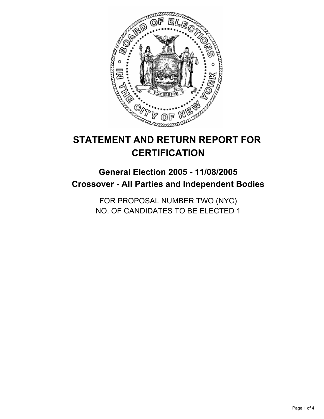

# **STATEMENT AND RETURN REPORT FOR CERTIFICATION**

## **General Election 2005 - 11/08/2005 Crossover - All Parties and Independent Bodies**

FOR PROPOSAL NUMBER TWO (NYC) NO. OF CANDIDATES TO BE ELECTED 1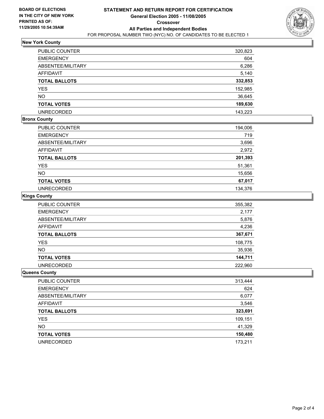

### **New York County**

| PUBLIC COUNTER       | 320,823 |
|----------------------|---------|
| <b>EMERGENCY</b>     | 604     |
| ABSENTEE/MILITARY    | 6,286   |
| <b>AFFIDAVIT</b>     | 5,140   |
| <b>TOTAL BALLOTS</b> | 332,853 |
| <b>YES</b>           | 152,985 |
| <b>NO</b>            | 36,645  |
| <b>TOTAL VOTES</b>   | 189,630 |
| <b>UNRECORDED</b>    | 143,223 |

#### **Bronx County**

| <b>PUBLIC COUNTER</b> | 194,006 |
|-----------------------|---------|
| <b>EMERGENCY</b>      | 719     |
| ABSENTEE/MILITARY     | 3,696   |
| AFFIDAVIT             | 2,972   |
| <b>TOTAL BALLOTS</b>  | 201,393 |
| <b>YES</b>            | 51,361  |
| <b>NO</b>             | 15,656  |
| <b>TOTAL VOTES</b>    | 67,017  |
| <b>UNRECORDED</b>     | 134,376 |

#### **Kings County**

| <b>PUBLIC COUNTER</b> | 355,382 |
|-----------------------|---------|
| <b>EMERGENCY</b>      | 2,177   |
| ABSENTEE/MILITARY     | 5,876   |
| <b>AFFIDAVIT</b>      | 4,236   |
| <b>TOTAL BALLOTS</b>  | 367,671 |
| <b>YES</b>            | 108,775 |
| <b>NO</b>             | 35,936  |
| <b>TOTAL VOTES</b>    | 144,711 |
| <b>UNRECORDED</b>     | 222.960 |

#### **Queens County**

| PUBLIC COUNTER       | 313,444 |
|----------------------|---------|
| <b>EMERGENCY</b>     | 624     |
| ABSENTEE/MILITARY    | 6,077   |
| AFFIDAVIT            | 3,546   |
| <b>TOTAL BALLOTS</b> | 323,691 |
| YES                  | 109,151 |
| <b>NO</b>            | 41,329  |
| <b>TOTAL VOTES</b>   | 150,480 |
| <b>UNRECORDED</b>    | 173,211 |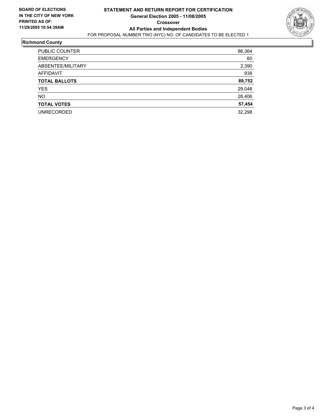

#### **Richmond County**

| 86,364<br><b>PUBLIC COUNTER</b> |     |
|---------------------------------|-----|
| <b>EMERGENCY</b>                | 60  |
| ABSENTEE/MILITARY<br>2,390      |     |
| <b>AFFIDAVIT</b>                | 938 |
| 89,752<br><b>TOTAL BALLOTS</b>  |     |
| 29,048<br><b>YES</b>            |     |
| <b>NO</b><br>28,406             |     |
| 57,454<br><b>TOTAL VOTES</b>    |     |
| 32,298<br><b>UNRECORDED</b>     |     |